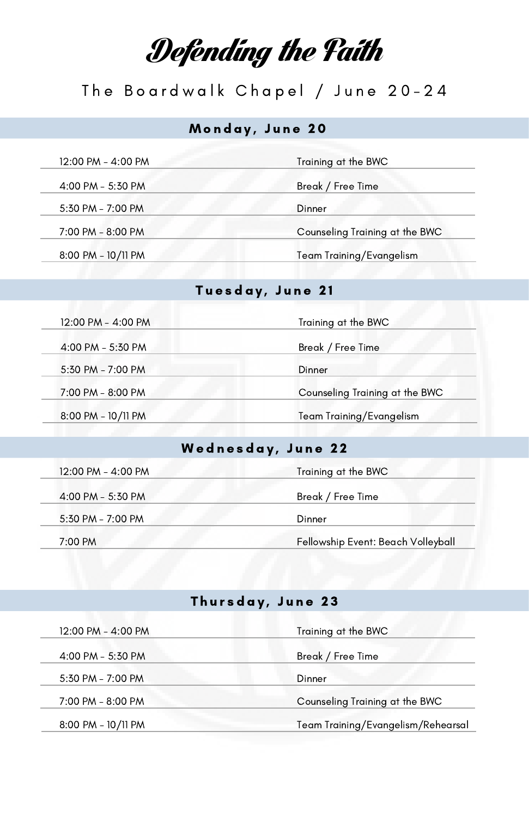## Defending the Faith

## The Boardwalk Chapel / June 20-24

#### Monday, June 20

| 12:00 PM - 4:00 PM | Training at the BWC            |
|--------------------|--------------------------------|
| 4:00 PM - 5:30 PM  | Break / Free Time              |
| 5:30 PM - 7:00 PM  | Dinner                         |
| 7:00 PM - 8:00 PM  | Counseling Training at the BWC |
| 8:00 PM - 10/11 PM | Team Training/Evangelism       |

#### Tuesday, June 21

| 12:00 PM - 4:00 PM | Training at the BWC            |
|--------------------|--------------------------------|
| 4:00 PM - 5:30 PM  | Break / Free Time              |
| 5:30 PM - 7:00 PM  | Dinner                         |
| 7:00 PM - 8:00 PM  | Counseling Training at the BWC |
| 8:00 PM - 10/11 PM | Team Training/Evangelism       |

#### Wednesday, June 22

| 12:00 PM - 4:00 PM | Training at the BWC                |
|--------------------|------------------------------------|
| 4:00 PM - 5:30 PM  | Break / Free Time                  |
| 5:30 PM - 7:00 PM  | Dinner                             |
| 7:00 PM            | Fellowship Event: Beach Volleyball |

#### Thursday, June 23

| 12:00 PM - 4:00 PM | Training at the BWC                |
|--------------------|------------------------------------|
| 4:00 PM - 5:30 PM  | Break / Free Time                  |
| 5:30 PM - 7:00 PM  | Dinner                             |
| 7:00 PM - 8:00 PM  | Counseling Training at the BWC     |
| 8:00 PM - 10/11 PM | Team Training/Evangelism/Rehearsal |